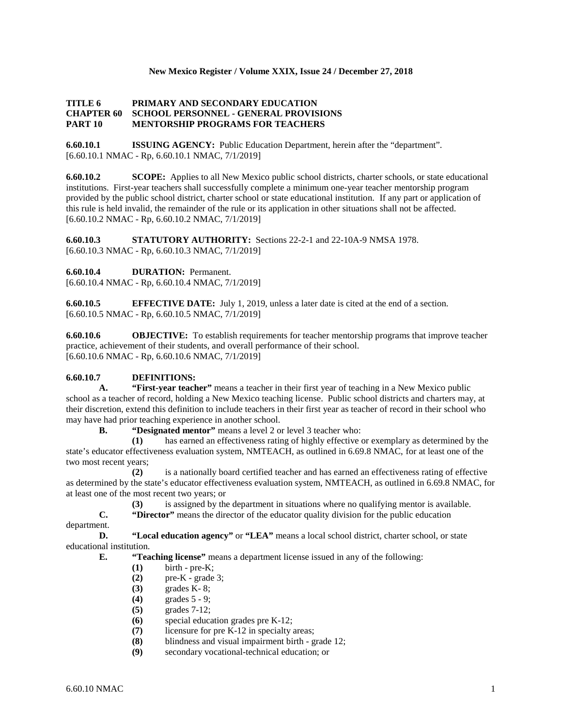## **New Mexico Register / Volume XXIX, Issue 24 / December 27, 2018**

## **TITLE 6 PRIMARY AND SECONDARY EDUCATION CHAPTER 60 SCHOOL PERSONNEL - GENERAL PROVISIONS PART 10 MENTORSHIP PROGRAMS FOR TEACHERS**

**6.60.10.1 ISSUING AGENCY:** Public Education Department, herein after the "department". [6.60.10.1 NMAC - Rp, 6.60.10.1 NMAC, 7/1/2019]

**6.60.10.2 SCOPE:** Applies to all New Mexico public school districts, charter schools, or state educational institutions. First-year teachers shall successfully complete a minimum one-year teacher mentorship program provided by the public school district, charter school or state educational institution. If any part or application of this rule is held invalid, the remainder of the rule or its application in other situations shall not be affected. [6.60.10.2 NMAC - Rp, 6.60.10.2 NMAC, 7/1/2019]

**6.60.10.3 STATUTORY AUTHORITY:** Sections 22-2-1 and 22-10A-9 NMSA 1978. [6.60.10.3 NMAC - Rp, 6.60.10.3 NMAC, 7/1/2019]

**6.60.10.4 DURATION:** Permanent.

[6.60.10.4 NMAC - Rp, 6.60.10.4 NMAC, 7/1/2019]

**6.60.10.5 EFFECTIVE DATE:** July 1, 2019, unless a later date is cited at the end of a section. [6.60.10.5 NMAC - Rp, 6.60.10.5 NMAC, 7/1/2019]

**6.60.10.6 OBJECTIVE:** To establish requirements for teacher mentorship programs that improve teacher practice, achievement of their students, and overall performance of their school. [6.60.10.6 NMAC - Rp, 6.60.10.6 NMAC, 7/1/2019]

# **6.60.10.7 DEFINITIONS:**

**A. "First-year teacher"** means a teacher in their first year of teaching in a New Mexico public school as a teacher of record, holding a New Mexico teaching license. Public school districts and charters may, at their discretion, extend this definition to include teachers in their first year as teacher of record in their school who may have had prior teaching experience in another school.<br> **B.** "Designated mentor" means a level 2 of

**"Designated mentor"** means a level 2 or level 3 teacher who:

**(1)** has earned an effectiveness rating of highly effective or exemplary as determined by the state's educator effectiveness evaluation system, NMTEACH, as outlined in 6.69.8 NMAC, for at least one of the two most recent years;

**(2)** is a nationally board certified teacher and has earned an effectiveness rating of effective as determined by the state's educator effectiveness evaluation system, NMTEACH, as outlined in 6.69.8 NMAC, for at least one of the most recent two years; or

**(3)** is assigned by the department in situations where no qualifying mentor is available.

**C. "Director"** means the director of the educator quality division for the public education

department.

**D. "Local education agency"** or **"LEA"** means a local school district, charter school, or state educational institution.

**E. "Teaching license"** means a department license issued in any of the following:

- **(1)** birth pre-K;
- **(2)** pre-K grade 3;
- **(3)** grades K- 8;
- **(4)** grades 5 9;
- **(5)** grades 7-12;
- **(6)** special education grades pre K-12;
- **(7)** licensure for pre K-12 in specialty areas;
- **(8)** blindness and visual impairment birth grade 12;
- **(9)** secondary vocational-technical education; or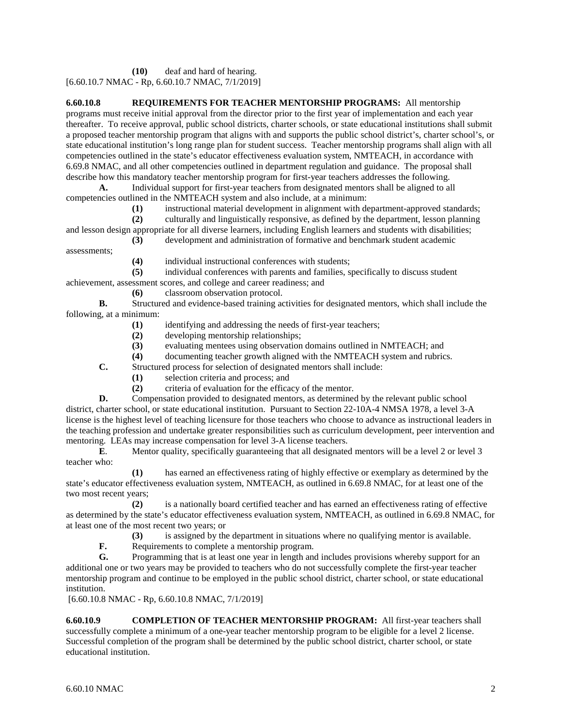**(10)** deaf and hard of hearing. [6.60.10.7 NMAC - Rp, 6.60.10.7 NMAC, 7/1/2019]

**6.60.10.8 REQUIREMENTS FOR TEACHER MENTORSHIP PROGRAMS:** All mentorship programs must receive initial approval from the director prior to the first year of implementation and each year thereafter. To receive approval, public school districts, charter schools, or state educational institutions shall submit a proposed teacher mentorship program that aligns with and supports the public school district's, charter school's, or state educational institution's long range plan for student success. Teacher mentorship programs shall align with all competencies outlined in the state's educator effectiveness evaluation system, NMTEACH, in accordance with 6.69.8 NMAC, and all other competencies outlined in department regulation and guidance. The proposal shall describe how this mandatory teacher mentorship program for first-year teachers addresses the following.

**A.** Individual support for first-year teachers from designated mentors shall be aligned to all competencies outlined in the NMTEACH system and also include, at a minimum:

**(1)** instructional material development in alignment with department-approved standards;

**(2)** culturally and linguistically responsive, as defined by the department, lesson planning

and lesson design appropriate for all diverse learners, including English learners and students with disabilities; **(3)** development and administration of formative and benchmark student academic

assessments;

(4) individual instructional conferences with students;<br>(5) individual conferences with parents and families, so

**(5)** individual conferences with parents and families, specifically to discuss student achievement, assessment scores, and college and career readiness; and

**(6)** classroom observation protocol.

**B.** Structured and evidence-based training activities for designated mentors, which shall include the following, at a minimum:

- **(1)** identifying and addressing the needs of first-year teachers;
- **(2)** developing mentorship relationships;
- **(3)** evaluating mentees using observation domains outlined in NMTEACH; and
- **(4)** documenting teacher growth aligned with the NMTEACH system and rubrics.

**C.** Structured process for selection of designated mentors shall include:

- **(1)** selection criteria and process; and
- **(2)** criteria of evaluation for the efficacy of the mentor.

**D.** Compensation provided to designated mentors, as determined by the relevant public school district, charter school, or state educational institution. Pursuant to Section 22-10A-4 NMSA 1978, a level 3-A license is the highest level of teaching licensure for those teachers who choose to advance as instructional leaders in the teaching profession and undertake greater responsibilities such as curriculum development, peer intervention and mentoring. LEAs may increase compensation for level 3-A license teachers.

**E.** Mentor quality, specifically guaranteeing that all designated mentors will be a level 2 or level 3 teacher who:

**(1)** has earned an effectiveness rating of highly effective or exemplary as determined by the state's educator effectiveness evaluation system, NMTEACH, as outlined in 6.69.8 NMAC, for at least one of the two most recent years;

**(2)** is a nationally board certified teacher and has earned an effectiveness rating of effective as determined by the state's educator effectiveness evaluation system, NMTEACH, as outlined in 6.69.8 NMAC, for at least one of the most recent two years; or

**(3)** is assigned by the department in situations where no qualifying mentor is available.

**F.** Requirements to complete a mentorship program.

**G.** Programming that is at least one year in length and includes provisions whereby support for an additional one or two years may be provided to teachers who do not successfully complete the first-year teacher mentorship program and continue to be employed in the public school district, charter school, or state educational institution.

[6.60.10.8 NMAC - Rp, 6.60.10.8 NMAC, 7/1/2019]

**6.60.10.9 COMPLETION OF TEACHER MENTORSHIP PROGRAM:** All first-year teachers shall successfully complete a minimum of a one-year teacher mentorship program to be eligible for a level 2 license. Successful completion of the program shall be determined by the public school district, charter school, or state educational institution.